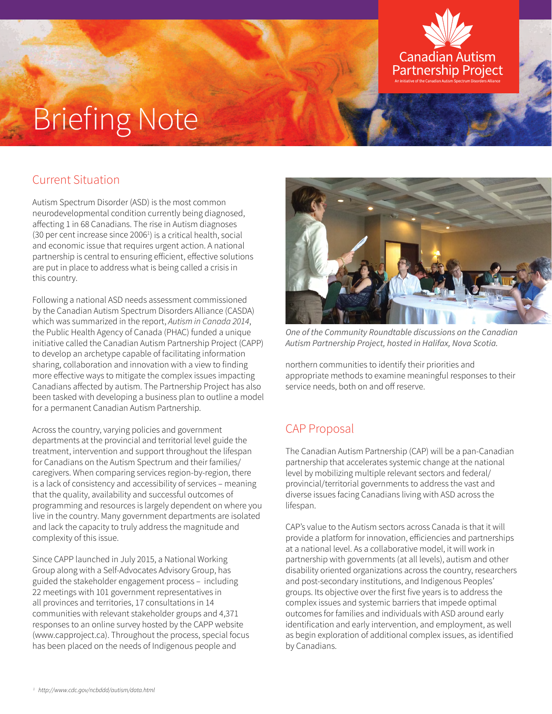# Briefing Note

## Current Situation

Autism Spectrum Disorder (ASD) is the most common neurodevelopmental condition currently being diagnosed, affecting 1 in 68 Canadians. The rise in Autism diagnoses  $(30$  per cent increase since 2006<sup>1</sup>) is a critical health, social and economic issue that requires urgent action. A national partnership is central to ensuring efficient, effective solutions are put in place to address what is being called a crisis in this country.

Following a national ASD needs assessment commissioned by the Canadian Autism Spectrum Disorders Alliance (CASDA) which was summarized in the report, *Autism in Canada 2014*, the Public Health Agency of Canada (PHAC) funded a unique initiative called the Canadian Autism Partnership Project (CAPP) to develop an archetype capable of facilitating information sharing, collaboration and innovation with a view to finding more effective ways to mitigate the complex issues impacting Canadians affected by autism. The Partnership Project has also been tasked with developing a business plan to outline a model for a permanent Canadian Autism Partnership.

Across the country, varying policies and government departments at the provincial and territorial level guide the treatment, intervention and support throughout the lifespan for Canadians on the Autism Spectrum and their families/ caregivers. When comparing services region-by-region, there is a lack of consistency and accessibility of services – meaning that the quality, availability and successful outcomes of programming and resources is largely dependent on where you live in the country. Many government departments are isolated and lack the capacity to truly address the magnitude and complexity of this issue.

Since CAPP launched in July 2015, a National Working Group along with a Self-Advocates Advisory Group, has guided the stakeholder engagement process – including 22 meetings with 101 government representatives in all provinces and territories, 17 consultations in 14 communities with relevant stakeholder groups and 4,371 responses to an online survey hosted by the CAPP website (www.capproject.ca). Throughout the process, special focus has been placed on the needs of Indigenous people and



Canadian Autism **Partnership Project** 

*One of the Community Roundtable discussions on the Canadian Autism Partnership Project, hosted in Halifax, Nova Scotia.*

northern communities to identify their priorities and appropriate methods to examine meaningful responses to their service needs, both on and off reserve.

## CAP Proposal

The Canadian Autism Partnership (CAP) will be a pan-Canadian partnership that accelerates systemic change at the national level by mobilizing multiple relevant sectors and federal/ provincial/territorial governments to address the vast and diverse issues facing Canadians living with ASD across the lifespan.

CAP's value to the Autism sectors across Canada is that it will provide a platform for innovation, efficiencies and partnerships at a national level. As a collaborative model, it will work in partnership with governments (at all levels), autism and other disability oriented organizations across the country, researchers and post-secondary institutions, and Indigenous Peoples' groups. Its objective over the first five years is to address the complex issues and systemic barriers that impede optimal outcomes for families and individuals with ASD around early identification and early intervention, and employment, as well as begin exploration of additional complex issues, as identified by Canadians.